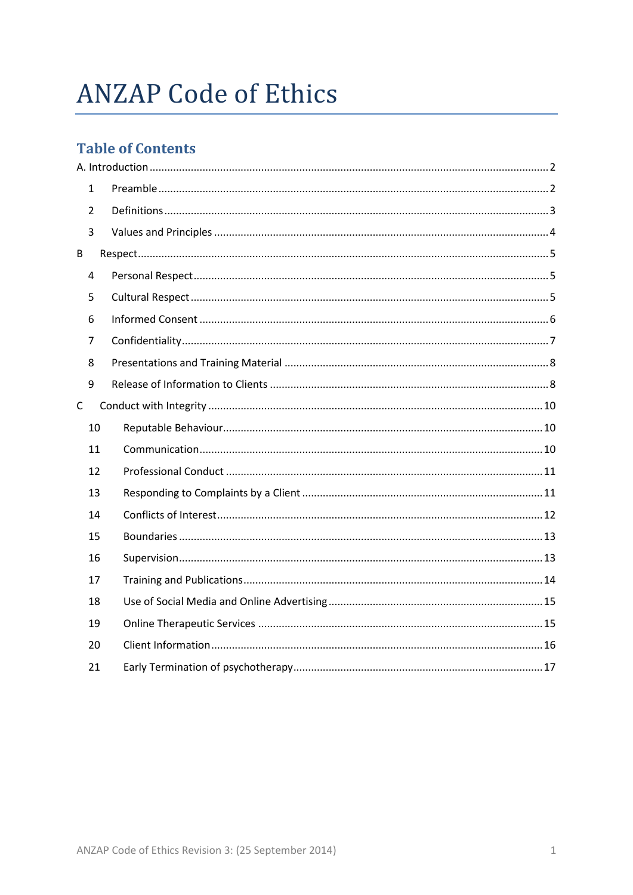# **ANZAP Code of Ethics**

### **Table of Contents**

| $\mathbf{1}$   |  |
|----------------|--|
| $\overline{2}$ |  |
| 3              |  |
| B              |  |
| $\overline{4}$ |  |
| 5              |  |
| 6              |  |
| 7              |  |
| 8              |  |
| 9              |  |
| C              |  |
| 10             |  |
| 11             |  |
| 12             |  |
| 13             |  |
| 14             |  |
| 15             |  |
| 16             |  |
| 17             |  |
| 18             |  |
| 19             |  |
| 20             |  |
| 21             |  |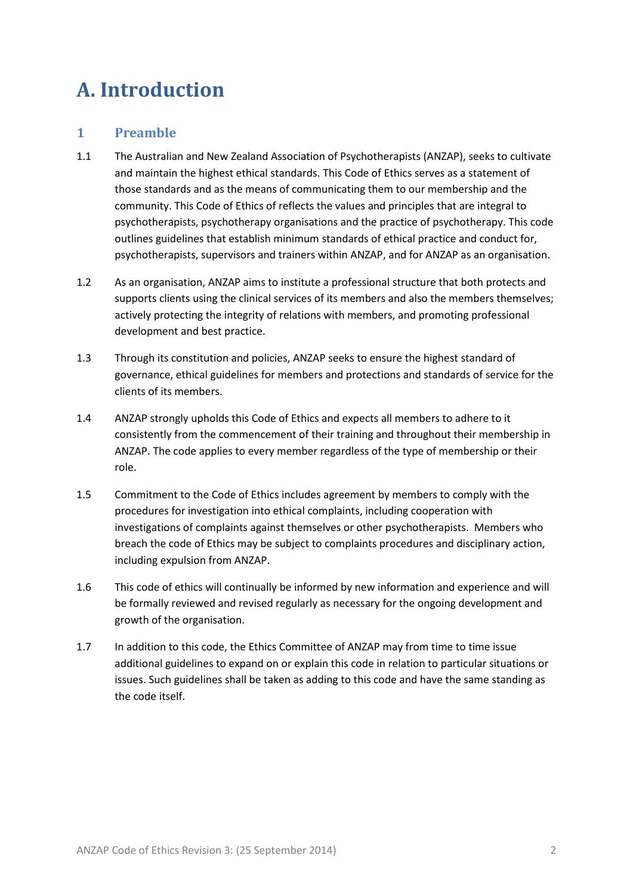## <span id="page-1-0"></span>**A. Introduction**

#### <span id="page-1-1"></span>**1 Preamble**

- 1.1 The Australian and New Zealand Association of Psychotherapists (ANZAP), seeks to cultivate and maintain the highest ethical standards. This Code of Ethics serves as a statement of those standards and as the means of communicating them to our membership and the community. This Code of Ethics of reflects the values and principles that are integral to psychotherapists, psychotherapy organisations and the practice of psychotherapy. This code outlines guidelines that establish minimum standards of ethical practice and conduct for, psychotherapists, supervisors and trainers within ANZAP, and for ANZAP as an organisation.
- 1.2 As an organisation, ANZAP aims to institute a professional structure that both protects and supports clients using the clinical services of its members and also the members themselves; actively protecting the integrity of relations with members, and promoting professional development and best practice.
- 1.3 Through its constitution and policies, ANZAP seeks to ensure the highest standard of governance, ethical guidelines for members and protections and standards of service for the clients of its members.
- 1.4 ANZAP strongly upholds this Code of Ethics and expects all members to adhere to it consistently from the commencement of their training and throughout their membership in ANZAP. The code applies to every member regardless of the type of membership or their role.
- 1.5 Commitment to the Code of Ethics includes agreement by members to comply with the procedures for investigation into ethical complaints, including cooperation with investigations of complaints against themselves or other psychotherapists. Members who breach the code of Ethics may be subject to complaints procedures and disciplinary action, including expulsion from ANZAP.
- 1.6 This code of ethics will continually be informed by new information and experience and will be formally reviewed and revised regularly as necessary for the ongoing development and growth of the organisation.
- 1.7 In addition to this code, the Ethics Committee of ANZAP may from time to time issue additional guidelines to expand on or explain this code in relation to particular situations or issues. Such guidelines shall be taken as adding to this code and have the same standing as the code itself.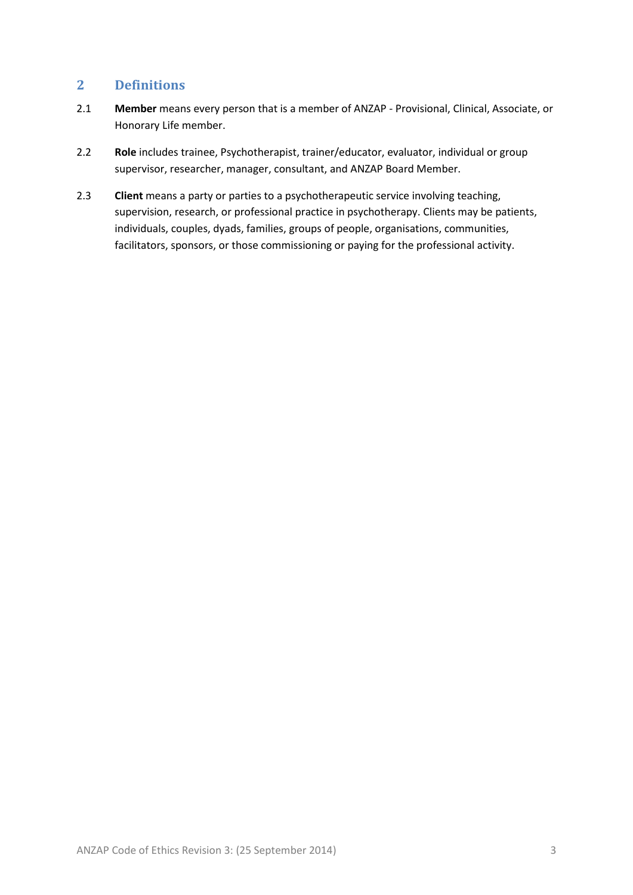#### <span id="page-2-0"></span>**2 Definitions**

- 2.1 **Member** means every person that is a member of ANZAP Provisional, Clinical, Associate, or Honorary Life member.
- 2.2 **Role** includes trainee, Psychotherapist, trainer/educator, evaluator, individual or group supervisor, researcher, manager, consultant, and ANZAP Board Member.
- 2.3 **Client** means a party or parties to a psychotherapeutic service involving teaching, supervision, research, or professional practice in psychotherapy. Clients may be patients, individuals, couples, dyads, families, groups of people, organisations, communities, facilitators, sponsors, or those commissioning or paying for the professional activity.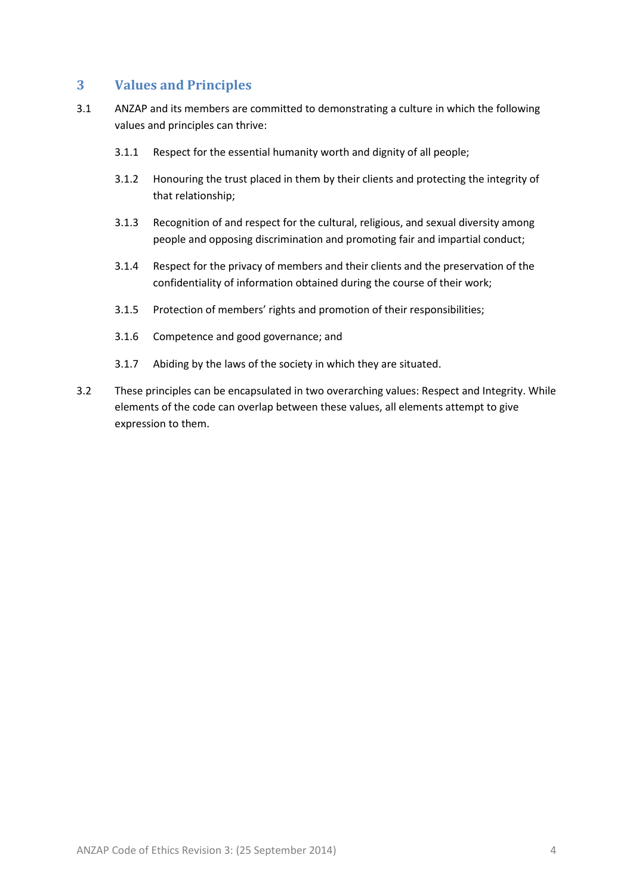#### <span id="page-3-0"></span>**3 Values and Principles**

- 3.1 ANZAP and its members are committed to demonstrating a culture in which the following values and principles can thrive:
	- 3.1.1 Respect for the essential humanity worth and dignity of all people;
	- 3.1.2 Honouring the trust placed in them by their clients and protecting the integrity of that relationship;
	- 3.1.3 Recognition of and respect for the cultural, religious, and sexual diversity among people and opposing discrimination and promoting fair and impartial conduct;
	- 3.1.4 Respect for the privacy of members and their clients and the preservation of the confidentiality of information obtained during the course of their work;
	- 3.1.5 Protection of members' rights and promotion of their responsibilities;
	- 3.1.6 Competence and good governance; and
	- 3.1.7 Abiding by the laws of the society in which they are situated.
- 3.2 These principles can be encapsulated in two overarching values: Respect and Integrity. While elements of the code can overlap between these values, all elements attempt to give expression to them.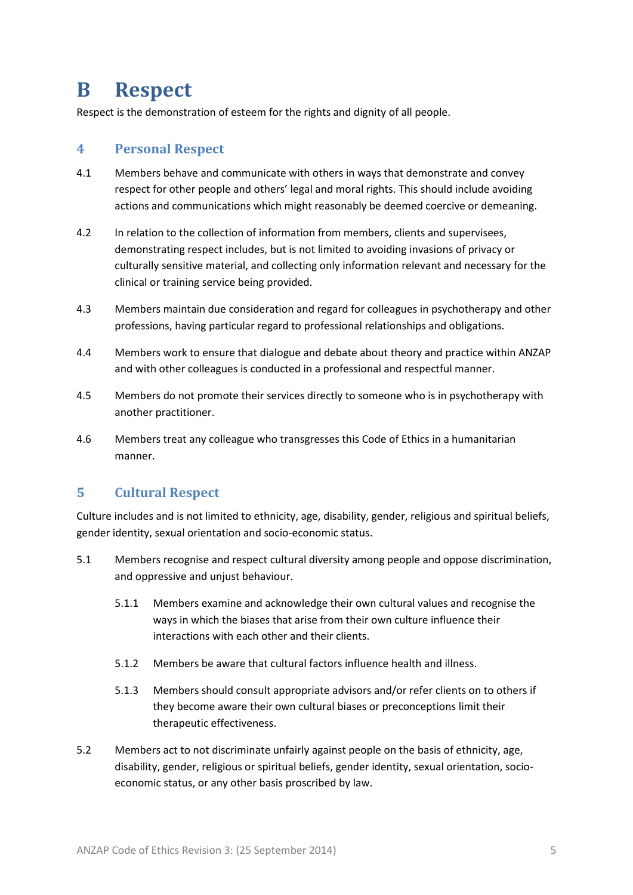### <span id="page-4-0"></span>**B Respect**

Respect is the demonstration of esteem for the rights and dignity of all people.

#### <span id="page-4-1"></span>**4 Personal Respect**

- 4.1 Members behave and communicate with others in ways that demonstrate and convey respect for other people and others' legal and moral rights. This should include avoiding actions and communications which might reasonably be deemed coercive or demeaning.
- 4.2 In relation to the collection of information from members, clients and supervisees, demonstrating respect includes, but is not limited to avoiding invasions of privacy or culturally sensitive material, and collecting only information relevant and necessary for the clinical or training service being provided.
- 4.3 Members maintain due consideration and regard for colleagues in psychotherapy and other professions, having particular regard to professional relationships and obligations.
- 4.4 Members work to ensure that dialogue and debate about theory and practice within ANZAP and with other colleagues is conducted in a professional and respectful manner.
- 4.5 Members do not promote their services directly to someone who is in psychotherapy with another practitioner.
- 4.6 Members treat any colleague who transgresses this Code of Ethics in a humanitarian manner.

#### <span id="page-4-2"></span>**5 Cultural Respect**

Culture includes and is not limited to ethnicity, age, disability, gender, religious and spiritual beliefs, gender identity, sexual orientation and socio-economic status.

- 5.1 Members recognise and respect cultural diversity among people and oppose discrimination, and oppressive and unjust behaviour.
	- 5.1.1 Members examine and acknowledge their own cultural values and recognise the ways in which the biases that arise from their own culture influence their interactions with each other and their clients.
	- 5.1.2 Members be aware that cultural factors influence health and illness.
	- 5.1.3 Members should consult appropriate advisors and/or refer clients on to others if they become aware their own cultural biases or preconceptions limit their therapeutic effectiveness.
- 5.2 Members act to not discriminate unfairly against people on the basis of ethnicity, age, disability, gender, religious or spiritual beliefs, gender identity, sexual orientation, socioeconomic status, or any other basis proscribed by law.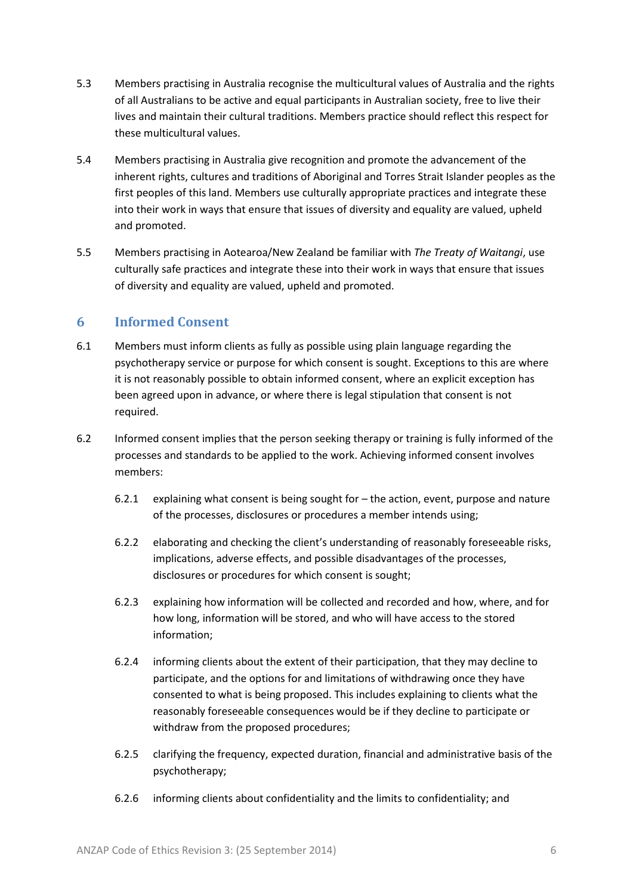- 5.3 Members practising in Australia recognise the multicultural values of Australia and the rights of all Australians to be active and equal participants in Australian society, free to live their lives and maintain their cultural traditions. Members practice should reflect this respect for these multicultural values.
- 5.4 Members practising in Australia give recognition and promote the advancement of the inherent rights, cultures and traditions of Aboriginal and Torres Strait Islander peoples as the first peoples of this land. Members use culturally appropriate practices and integrate these into their work in ways that ensure that issues of diversity and equality are valued, upheld and promoted.
- 5.5 Members practising in Aotearoa/New Zealand be familiar with *The Treaty of Waitangi*, use culturally safe practices and integrate these into their work in ways that ensure that issues of diversity and equality are valued, upheld and promoted.

#### <span id="page-5-0"></span>**6 Informed Consent**

- 6.1 Members must inform clients as fully as possible using plain language regarding the psychotherapy service or purpose for which consent is sought. Exceptions to this are where it is not reasonably possible to obtain informed consent, where an explicit exception has been agreed upon in advance, or where there is legal stipulation that consent is not required.
- 6.2 Informed consent implies that the person seeking therapy or training is fully informed of the processes and standards to be applied to the work. Achieving informed consent involves members:
	- 6.2.1 explaining what consent is being sought for the action, event, purpose and nature of the processes, disclosures or procedures a member intends using;
	- 6.2.2 elaborating and checking the client's understanding of reasonably foreseeable risks, implications, adverse effects, and possible disadvantages of the processes, disclosures or procedures for which consent is sought;
	- 6.2.3 explaining how information will be collected and recorded and how, where, and for how long, information will be stored, and who will have access to the stored information;
	- 6.2.4 informing clients about the extent of their participation, that they may decline to participate, and the options for and limitations of withdrawing once they have consented to what is being proposed. This includes explaining to clients what the reasonably foreseeable consequences would be if they decline to participate or withdraw from the proposed procedures;
	- 6.2.5 clarifying the frequency, expected duration, financial and administrative basis of the psychotherapy;
	- 6.2.6 informing clients about confidentiality and the limits to confidentiality; and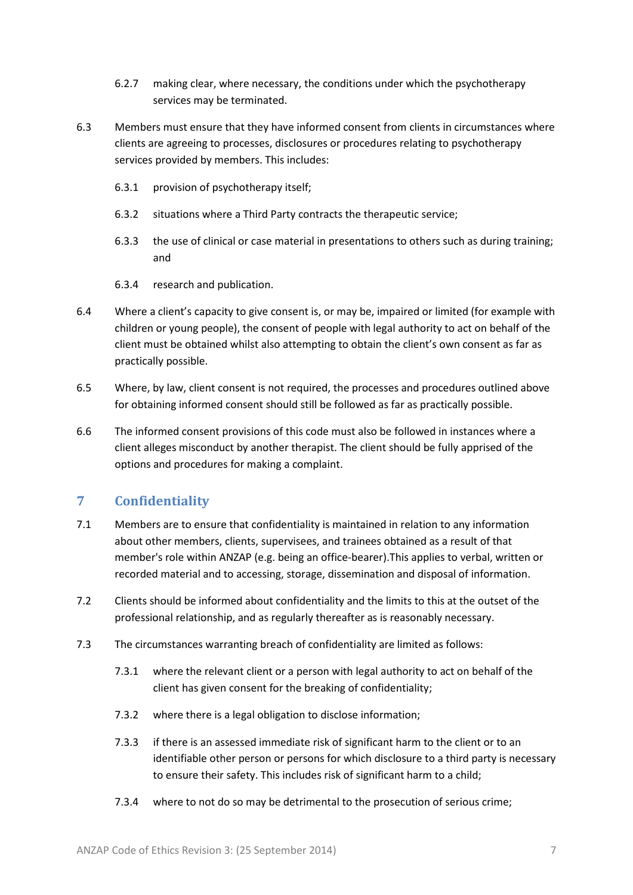- 6.2.7 making clear, where necessary, the conditions under which the psychotherapy services may be terminated.
- 6.3 Members must ensure that they have informed consent from clients in circumstances where clients are agreeing to processes, disclosures or procedures relating to psychotherapy services provided by members. This includes:
	- 6.3.1 provision of psychotherapy itself;
	- 6.3.2 situations where a Third Party contracts the therapeutic service;
	- 6.3.3 the use of clinical or case material in presentations to others such as during training; and
	- 6.3.4 research and publication.
- 6.4 Where a client's capacity to give consent is, or may be, impaired or limited (for example with children or young people), the consent of people with legal authority to act on behalf of the client must be obtained whilst also attempting to obtain the client's own consent as far as practically possible.
- 6.5 Where, by law, client consent is not required, the processes and procedures outlined above for obtaining informed consent should still be followed as far as practically possible.
- 6.6 The informed consent provisions of this code must also be followed in instances where a client alleges misconduct by another therapist. The client should be fully apprised of the options and procedures for making a complaint.

#### <span id="page-6-0"></span>**7 Confidentiality**

- 7.1 Members are to ensure that confidentiality is maintained in relation to any information about other members, clients, supervisees, and trainees obtained as a result of that member's role within ANZAP (e.g. being an office-bearer).This applies to verbal, written or recorded material and to accessing, storage, dissemination and disposal of information.
- 7.2 Clients should be informed about confidentiality and the limits to this at the outset of the professional relationship, and as regularly thereafter as is reasonably necessary.
- 7.3 The circumstances warranting breach of confidentiality are limited as follows:
	- 7.3.1 where the relevant client or a person with legal authority to act on behalf of the client has given consent for the breaking of confidentiality;
	- 7.3.2 where there is a legal obligation to disclose information;
	- 7.3.3 if there is an assessed immediate risk of significant harm to the client or to an identifiable other person or persons for which disclosure to a third party is necessary to ensure their safety. This includes risk of significant harm to a child;
	- 7.3.4 where to not do so may be detrimental to the prosecution of serious crime;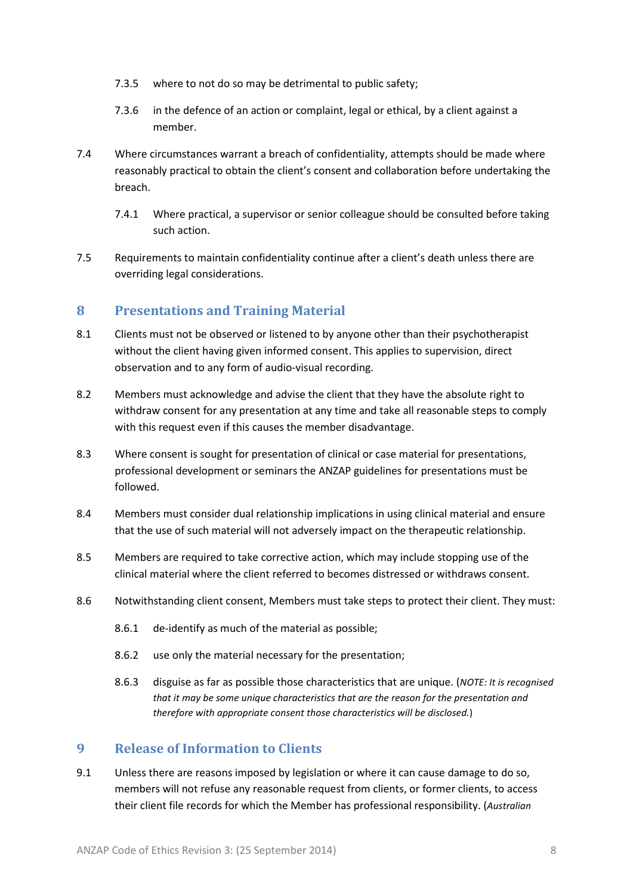- 7.3.5 where to not do so may be detrimental to public safety;
- 7.3.6 in the defence of an action or complaint, legal or ethical, by a client against a member.
- 7.4 Where circumstances warrant a breach of confidentiality, attempts should be made where reasonably practical to obtain the client's consent and collaboration before undertaking the breach.
	- 7.4.1 Where practical, a supervisor or senior colleague should be consulted before taking such action.
- 7.5 Requirements to maintain confidentiality continue after a client's death unless there are overriding legal considerations.

#### <span id="page-7-0"></span>**8 Presentations and Training Material**

- 8.1 Clients must not be observed or listened to by anyone other than their psychotherapist without the client having given informed consent. This applies to supervision, direct observation and to any form of audio-visual recording.
- 8.2 Members must acknowledge and advise the client that they have the absolute right to withdraw consent for any presentation at any time and take all reasonable steps to comply with this request even if this causes the member disadvantage.
- 8.3 Where consent is sought for presentation of clinical or case material for presentations, professional development or seminars the ANZAP guidelines for presentations must be followed.
- 8.4 Members must consider dual relationship implications in using clinical material and ensure that the use of such material will not adversely impact on the therapeutic relationship.
- 8.5 Members are required to take corrective action, which may include stopping use of the clinical material where the client referred to becomes distressed or withdraws consent.
- 8.6 Notwithstanding client consent, Members must take steps to protect their client. They must:
	- 8.6.1 de-identify as much of the material as possible;
	- 8.6.2 use only the material necessary for the presentation;
	- 8.6.3 disguise as far as possible those characteristics that are unique. (*NOTE: It is recognised that it may be some unique characteristics that are the reason for the presentation and therefore with appropriate consent those characteristics will be disclosed.*)

#### <span id="page-7-1"></span>**9 Release of Information to Clients**

9.1 Unless there are reasons imposed by legislation or where it can cause damage to do so, members will not refuse any reasonable request from clients, or former clients, to access their client file records for which the Member has professional responsibility. (*Australian*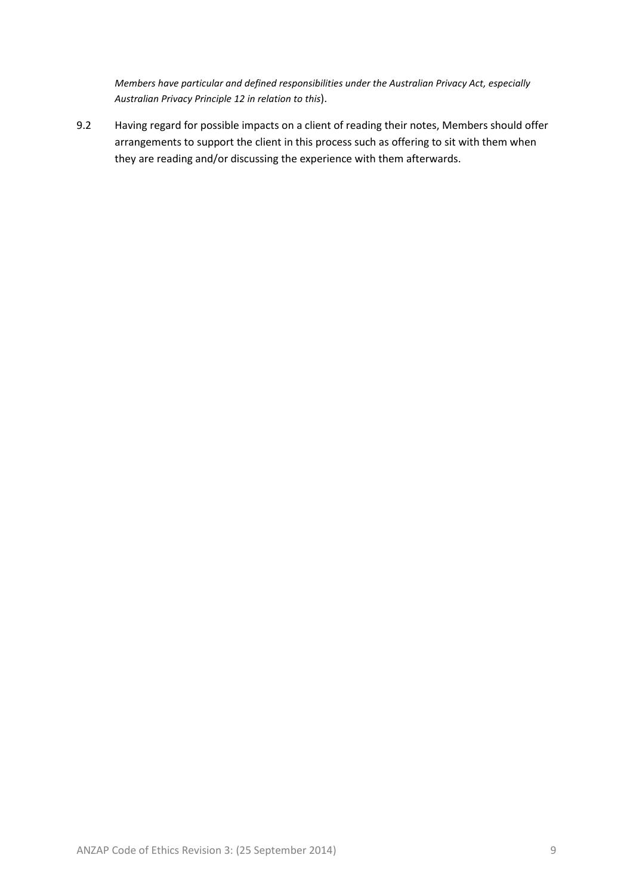*Members have particular and defined responsibilities under the Australian Privacy Act, especially Australian Privacy Principle 12 in relation to this*).

9.2 Having regard for possible impacts on a client of reading their notes, Members should offer arrangements to support the client in this process such as offering to sit with them when they are reading and/or discussing the experience with them afterwards.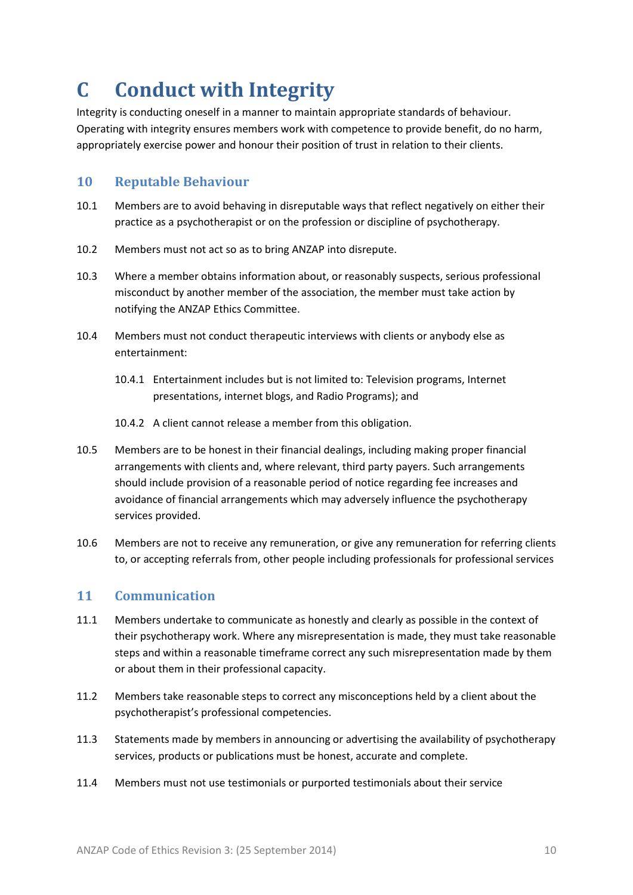## <span id="page-9-0"></span>**C Conduct with Integrity**

Integrity is conducting oneself in a manner to maintain appropriate standards of behaviour. Operating with integrity ensures members work with competence to provide benefit, do no harm, appropriately exercise power and honour their position of trust in relation to their clients.

#### <span id="page-9-1"></span>**10 Reputable Behaviour**

- 10.1 Members are to avoid behaving in disreputable ways that reflect negatively on either their practice as a psychotherapist or on the profession or discipline of psychotherapy.
- 10.2 Members must not act so as to bring ANZAP into disrepute.
- 10.3 Where a member obtains information about, or reasonably suspects, serious professional misconduct by another member of the association, the member must take action by notifying the ANZAP Ethics Committee.
- 10.4 Members must not conduct therapeutic interviews with clients or anybody else as entertainment:
	- 10.4.1 Entertainment includes but is not limited to: Television programs, Internet presentations, internet blogs, and Radio Programs); and
	- 10.4.2 A client cannot release a member from this obligation.
- 10.5 Members are to be honest in their financial dealings, including making proper financial arrangements with clients and, where relevant, third party payers. Such arrangements should include provision of a reasonable period of notice regarding fee increases and avoidance of financial arrangements which may adversely influence the psychotherapy services provided.
- 10.6 Members are not to receive any remuneration, or give any remuneration for referring clients to, or accepting referrals from, other people including professionals for professional services

#### <span id="page-9-2"></span>**11 Communication**

- 11.1 Members undertake to communicate as honestly and clearly as possible in the context of their psychotherapy work. Where any misrepresentation is made, they must take reasonable steps and within a reasonable timeframe correct any such misrepresentation made by them or about them in their professional capacity.
- 11.2 Members take reasonable steps to correct any misconceptions held by a client about the psychotherapist's professional competencies.
- 11.3 Statements made by members in announcing or advertising the availability of psychotherapy services, products or publications must be honest, accurate and complete.
- 11.4 Members must not use testimonials or purported testimonials about their service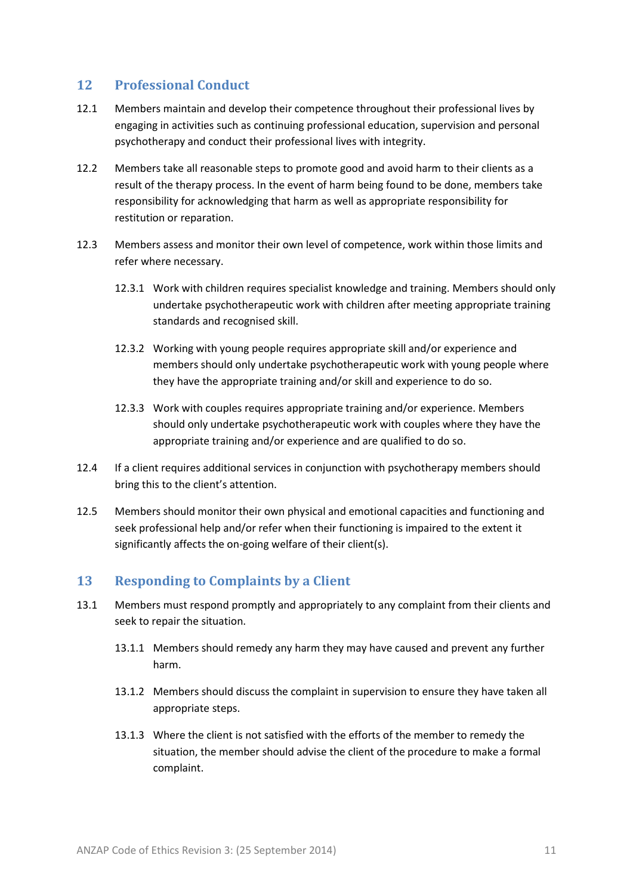#### <span id="page-10-0"></span>**12 Professional Conduct**

- 12.1 Members maintain and develop their competence throughout their professional lives by engaging in activities such as continuing professional education, supervision and personal psychotherapy and conduct their professional lives with integrity.
- 12.2 Members take all reasonable steps to promote good and avoid harm to their clients as a result of the therapy process. In the event of harm being found to be done, members take responsibility for acknowledging that harm as well as appropriate responsibility for restitution or reparation.
- 12.3 Members assess and monitor their own level of competence, work within those limits and refer where necessary.
	- 12.3.1 Work with children requires specialist knowledge and training. Members should only undertake psychotherapeutic work with children after meeting appropriate training standards and recognised skill.
	- 12.3.2 Working with young people requires appropriate skill and/or experience and members should only undertake psychotherapeutic work with young people where they have the appropriate training and/or skill and experience to do so.
	- 12.3.3 Work with couples requires appropriate training and/or experience. Members should only undertake psychotherapeutic work with couples where they have the appropriate training and/or experience and are qualified to do so.
- 12.4 If a client requires additional services in conjunction with psychotherapy members should bring this to the client's attention.
- 12.5 Members should monitor their own physical and emotional capacities and functioning and seek professional help and/or refer when their functioning is impaired to the extent it significantly affects the on-going welfare of their client(s).

#### <span id="page-10-1"></span>**13 Responding to Complaints by a Client**

- 13.1 Members must respond promptly and appropriately to any complaint from their clients and seek to repair the situation.
	- 13.1.1 Members should remedy any harm they may have caused and prevent any further harm.
	- 13.1.2 Members should discuss the complaint in supervision to ensure they have taken all appropriate steps.
	- 13.1.3 Where the client is not satisfied with the efforts of the member to remedy the situation, the member should advise the client of the procedure to make a formal complaint.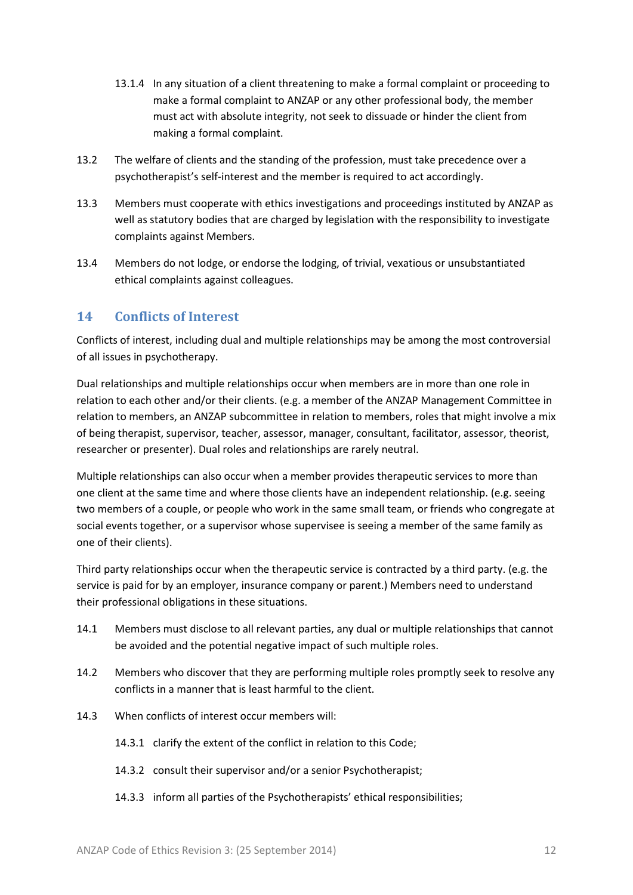- 13.1.4 In any situation of a client threatening to make a formal complaint or proceeding to make a formal complaint to ANZAP or any other professional body, the member must act with absolute integrity, not seek to dissuade or hinder the client from making a formal complaint.
- 13.2 The welfare of clients and the standing of the profession, must take precedence over a psychotherapist's self-interest and the member is required to act accordingly.
- 13.3 Members must cooperate with ethics investigations and proceedings instituted by ANZAP as well as statutory bodies that are charged by legislation with the responsibility to investigate complaints against Members.
- 13.4 Members do not lodge, or endorse the lodging, of trivial, vexatious or unsubstantiated ethical complaints against colleagues.

#### <span id="page-11-0"></span>**14 Conflicts of Interest**

Conflicts of interest, including dual and multiple relationships may be among the most controversial of all issues in psychotherapy.

Dual relationships and multiple relationships occur when members are in more than one role in relation to each other and/or their clients. (e.g. a member of the ANZAP Management Committee in relation to members, an ANZAP subcommittee in relation to members, roles that might involve a mix of being therapist, supervisor, teacher, assessor, manager, consultant, facilitator, assessor, theorist, researcher or presenter). Dual roles and relationships are rarely neutral.

Multiple relationships can also occur when a member provides therapeutic services to more than one client at the same time and where those clients have an independent relationship. (e.g. seeing two members of a couple, or people who work in the same small team, or friends who congregate at social events together, or a supervisor whose supervisee is seeing a member of the same family as one of their clients).

Third party relationships occur when the therapeutic service is contracted by a third party. (e.g. the service is paid for by an employer, insurance company or parent.) Members need to understand their professional obligations in these situations.

- 14.1 Members must disclose to all relevant parties, any dual or multiple relationships that cannot be avoided and the potential negative impact of such multiple roles.
- 14.2 Members who discover that they are performing multiple roles promptly seek to resolve any conflicts in a manner that is least harmful to the client.
- 14.3 When conflicts of interest occur members will:
	- 14.3.1 clarify the extent of the conflict in relation to this Code;
	- 14.3.2 consult their supervisor and/or a senior Psychotherapist;
	- 14.3.3 inform all parties of the Psychotherapists' ethical responsibilities;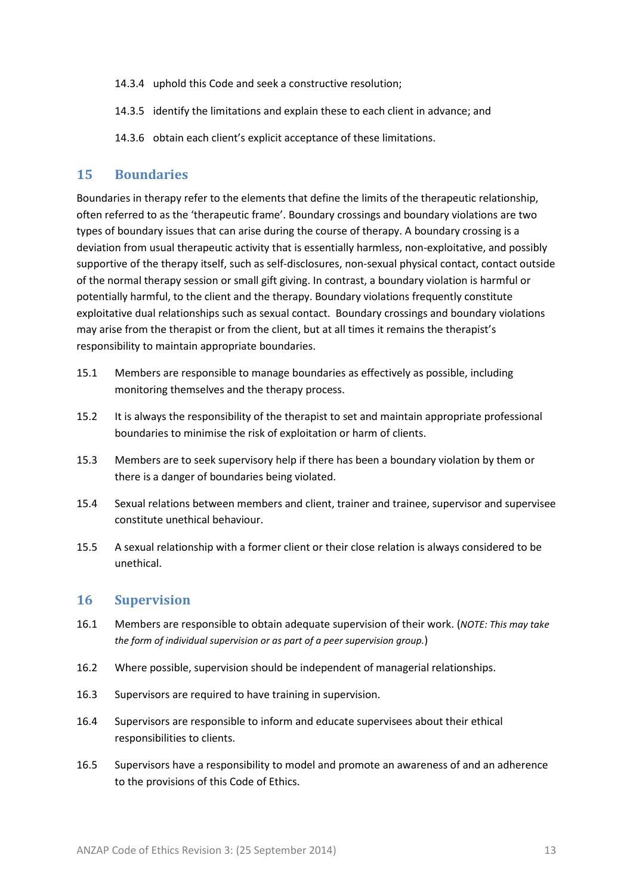- 14.3.4 uphold this Code and seek a constructive resolution;
- 14.3.5 identify the limitations and explain these to each client in advance; and
- 14.3.6 obtain each client's explicit acceptance of these limitations.

#### <span id="page-12-0"></span>**15 Boundaries**

Boundaries in therapy refer to the elements that define the limits of the therapeutic relationship, often referred to as the 'therapeutic frame'. Boundary crossings and boundary violations are two types of boundary issues that can arise during the course of therapy. A boundary crossing is a deviation from usual therapeutic activity that is essentially harmless, non-exploitative, and possibly supportive of the therapy itself, such as self-disclosures, non-sexual physical contact, contact outside of the normal therapy session or small gift giving. In contrast, a boundary violation is harmful or potentially harmful, to the client and the therapy. Boundary violations frequently constitute exploitative dual relationships such as sexual contact. Boundary crossings and boundary violations may arise from the therapist or from the client, but at all times it remains the therapist's responsibility to maintain appropriate boundaries.

- 15.1 Members are responsible to manage boundaries as effectively as possible, including monitoring themselves and the therapy process.
- 15.2 It is always the responsibility of the therapist to set and maintain appropriate professional boundaries to minimise the risk of exploitation or harm of clients.
- 15.3 Members are to seek supervisory help if there has been a boundary violation by them or there is a danger of boundaries being violated.
- 15.4 Sexual relations between members and client, trainer and trainee, supervisor and supervisee constitute unethical behaviour.
- 15.5 A sexual relationship with a former client or their close relation is always considered to be unethical.

#### <span id="page-12-1"></span>**16 Supervision**

- 16.1 Members are responsible to obtain adequate supervision of their work. (*NOTE: This may take the form of individual supervision or as part of a peer supervision group.*)
- 16.2 Where possible, supervision should be independent of managerial relationships.
- 16.3 Supervisors are required to have training in supervision.
- 16.4 Supervisors are responsible to inform and educate supervisees about their ethical responsibilities to clients.
- 16.5 Supervisors have a responsibility to model and promote an awareness of and an adherence to the provisions of this Code of Ethics.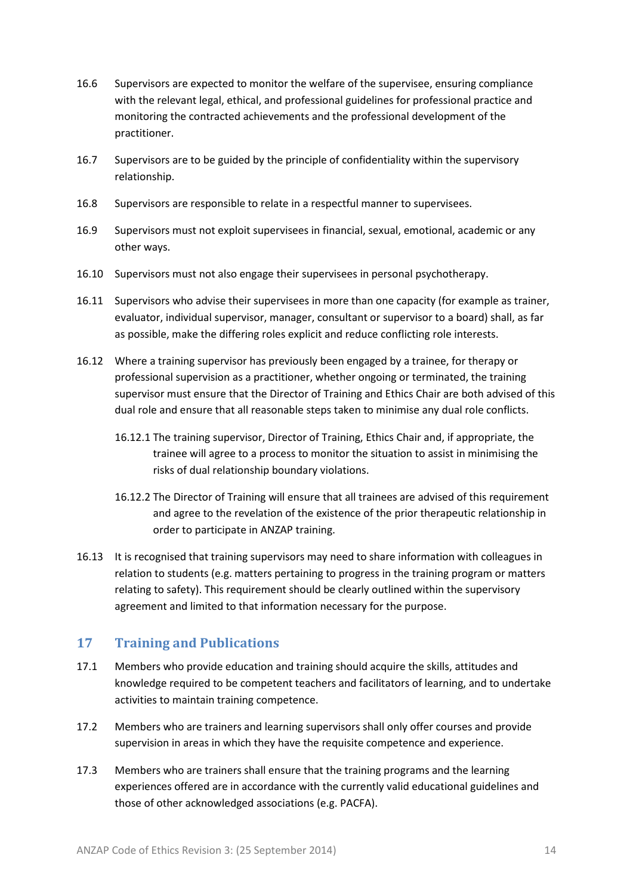- 16.6 Supervisors are expected to monitor the welfare of the supervisee, ensuring compliance with the relevant legal, ethical, and professional guidelines for professional practice and monitoring the contracted achievements and the professional development of the practitioner.
- 16.7 Supervisors are to be guided by the principle of confidentiality within the supervisory relationship.
- 16.8 Supervisors are responsible to relate in a respectful manner to supervisees.
- 16.9 Supervisors must not exploit supervisees in financial, sexual, emotional, academic or any other ways.
- 16.10 Supervisors must not also engage their supervisees in personal psychotherapy.
- 16.11 Supervisors who advise their supervisees in more than one capacity (for example as trainer, evaluator, individual supervisor, manager, consultant or supervisor to a board) shall, as far as possible, make the differing roles explicit and reduce conflicting role interests.
- 16.12 Where a training supervisor has previously been engaged by a trainee, for therapy or professional supervision as a practitioner, whether ongoing or terminated, the training supervisor must ensure that the Director of Training and Ethics Chair are both advised of this dual role and ensure that all reasonable steps taken to minimise any dual role conflicts.
	- 16.12.1 The training supervisor, Director of Training, Ethics Chair and, if appropriate, the trainee will agree to a process to monitor the situation to assist in minimising the risks of dual relationship boundary violations.
	- 16.12.2 The Director of Training will ensure that all trainees are advised of this requirement and agree to the revelation of the existence of the prior therapeutic relationship in order to participate in ANZAP training.
- 16.13 It is recognised that training supervisors may need to share information with colleagues in relation to students (e.g. matters pertaining to progress in the training program or matters relating to safety). This requirement should be clearly outlined within the supervisory agreement and limited to that information necessary for the purpose.

#### <span id="page-13-0"></span>**17 Training and Publications**

- 17.1 Members who provide education and training should acquire the skills, attitudes and knowledge required to be competent teachers and facilitators of learning, and to undertake activities to maintain training competence.
- 17.2 Members who are trainers and learning supervisors shall only offer courses and provide supervision in areas in which they have the requisite competence and experience.
- 17.3 Members who are trainers shall ensure that the training programs and the learning experiences offered are in accordance with the currently valid educational guidelines and those of other acknowledged associations (e.g. PACFA).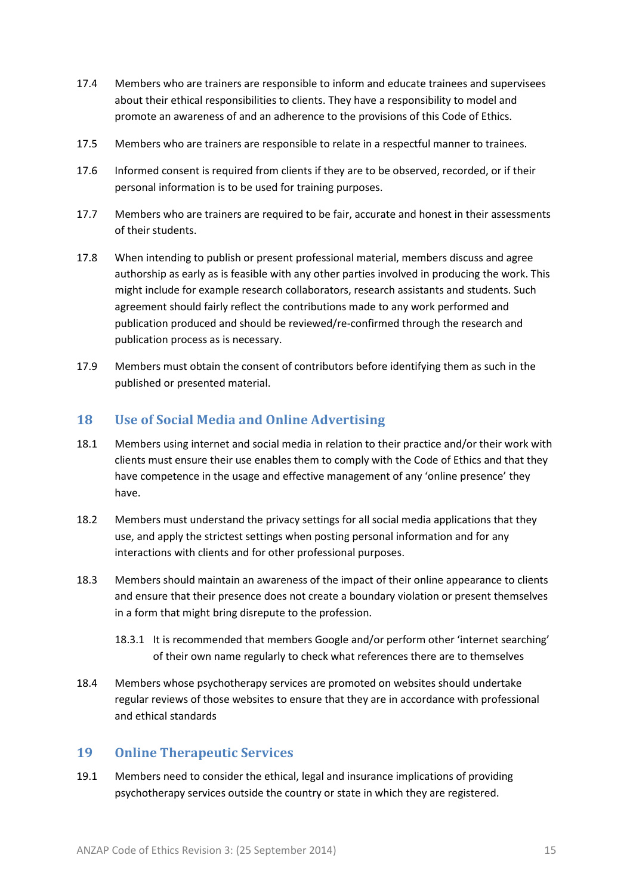- 17.4 Members who are trainers are responsible to inform and educate trainees and supervisees about their ethical responsibilities to clients. They have a responsibility to model and promote an awareness of and an adherence to the provisions of this Code of Ethics.
- 17.5 Members who are trainers are responsible to relate in a respectful manner to trainees.
- 17.6 Informed consent is required from clients if they are to be observed, recorded, or if their personal information is to be used for training purposes.
- 17.7 Members who are trainers are required to be fair, accurate and honest in their assessments of their students.
- 17.8 When intending to publish or present professional material, members discuss and agree authorship as early as is feasible with any other parties involved in producing the work. This might include for example research collaborators, research assistants and students. Such agreement should fairly reflect the contributions made to any work performed and publication produced and should be reviewed/re-confirmed through the research and publication process as is necessary.
- 17.9 Members must obtain the consent of contributors before identifying them as such in the published or presented material.

#### <span id="page-14-0"></span>**18 Use of Social Media and Online Advertising**

- 18.1 Members using internet and social media in relation to their practice and/or their work with clients must ensure their use enables them to comply with the Code of Ethics and that they have competence in the usage and effective management of any 'online presence' they have.
- 18.2 Members must understand the privacy settings for all social media applications that they use, and apply the strictest settings when posting personal information and for any interactions with clients and for other professional purposes.
- 18.3 Members should maintain an awareness of the impact of their online appearance to clients and ensure that their presence does not create a boundary violation or present themselves in a form that might bring disrepute to the profession.
	- 18.3.1 It is recommended that members Google and/or perform other 'internet searching' of their own name regularly to check what references there are to themselves
- 18.4 Members whose psychotherapy services are promoted on websites should undertake regular reviews of those websites to ensure that they are in accordance with professional and ethical standards

#### <span id="page-14-1"></span>**19 Online Therapeutic Services**

19.1 Members need to consider the ethical, legal and insurance implications of providing psychotherapy services outside the country or state in which they are registered.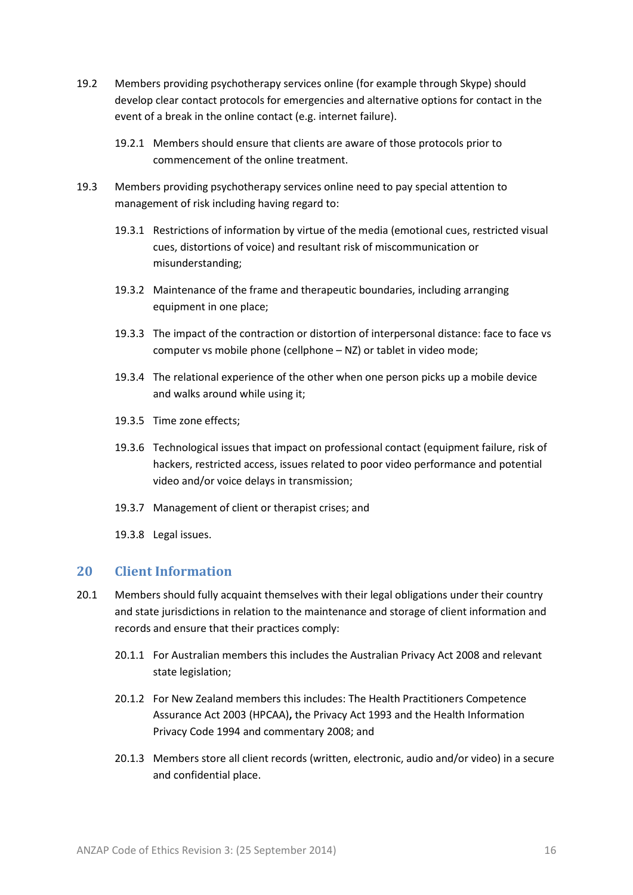- 19.2 Members providing psychotherapy services online (for example through Skype) should develop clear contact protocols for emergencies and alternative options for contact in the event of a break in the online contact (e.g. internet failure).
	- 19.2.1 Members should ensure that clients are aware of those protocols prior to commencement of the online treatment.
- 19.3 Members providing psychotherapy services online need to pay special attention to management of risk including having regard to:
	- 19.3.1 Restrictions of information by virtue of the media (emotional cues, restricted visual cues, distortions of voice) and resultant risk of miscommunication or misunderstanding;
	- 19.3.2 Maintenance of the frame and therapeutic boundaries, including arranging equipment in one place;
	- 19.3.3 The impact of the contraction or distortion of interpersonal distance: face to face vs computer vs mobile phone (cellphone – NZ) or tablet in video mode;
	- 19.3.4 The relational experience of the other when one person picks up a mobile device and walks around while using it;
	- 19.3.5 Time zone effects;
	- 19.3.6 Technological issues that impact on professional contact (equipment failure, risk of hackers, restricted access, issues related to poor video performance and potential video and/or voice delays in transmission;
	- 19.3.7 Management of client or therapist crises; and
	- 19.3.8 Legal issues.

#### <span id="page-15-0"></span>**20 Client Information**

- 20.1 Members should fully acquaint themselves with their legal obligations under their country and state jurisdictions in relation to the maintenance and storage of client information and records and ensure that their practices comply:
	- 20.1.1 For Australian members this includes the Australian Privacy Act 2008 and relevant state legislation;
	- 20.1.2 For New Zealand members this includes: The Health Practitioners Competence Assurance Act 2003 (HPCAA)**,** the Privacy Act 1993 and the Health Information Privacy Code 1994 and commentary 2008; and
	- 20.1.3 Members store all client records (written, electronic, audio and/or video) in a secure and confidential place.